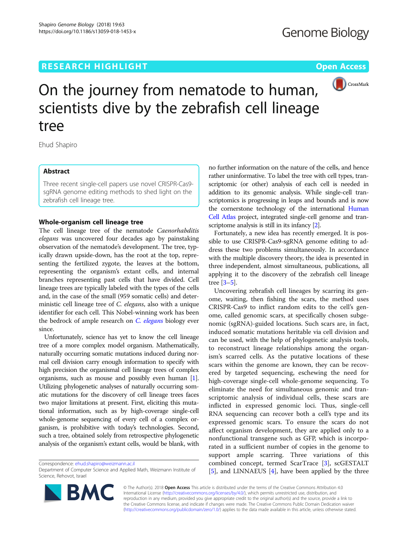## **RESEARCH HIGHLIGHT CONSUMING THE OPEN ACCESS**



# On the journey from nematode to human, scientists dive by the zebrafish cell lineage tree

Ehud Shapiro

## Abstract

Three recent single-cell papers use novel CRISPR-Cas9 sgRNA genome editing methods to shed light on the zebrafish cell lineage tree.

### Whole-organism cell lineage tree

The cell lineage tree of the nematode Caenorhabditis elegans was uncovered four decades ago by painstaking observation of the nematode's development. The tree, typically drawn upside-down, has the root at the top, representing the fertilized zygote, the leaves at the bottom, representing the organism's extant cells, and internal branches representing past cells that have divided. Cell lineage trees are typically labeled with the types of the cells and, in the case of the small (959 somatic cells) and deterministic cell lineage tree of C. elegans, also with a unique identifier for each cell. This Nobel-winning work has been the bedrock of ample research on *[C. elegans](http://www.wormatlas.org/index.html)* biology ever since.

Unfortunately, science has yet to know the cell lineage tree of a more complex model organism. Mathematically, naturally occurring somatic mutations induced during normal cell division carry enough information to specify with high precision the organismal cell lineage trees of complex organisms, such as mouse and possibly even human [[1](#page-2-0)]. Utilizing phylogenetic analyses of naturally occurring somatic mutations for the discovery of cell lineage trees faces two major limitations at present. First, eliciting this mutational information, such as by high-coverage single-cell whole-genome sequencing of every cell of a complex organism, is prohibitive with today's technologies. Second, such a tree, obtained solely from retrospective phylogenetic analysis of the organism's extant cells, would be blank, with

Correspondence: [ehud.shapiro@weizmann.ac.il](mailto:ehud.shapiro@weizmann.ac.il)

Department of Computer Science and Applied Math, Weizmann Institute of Science, Rehovot, Israel



no further information on the nature of the cells, and hence rather uninformative. To label the tree with cell types, transcriptomic (or other) analysis of each cell is needed in addition to its genomic analysis. While single-cell transcriptomics is progressing in leaps and bounds and is now the cornerstone technology of the international [Human](https://www.humancellatlas.org/) [Cell Atlas](https://www.humancellatlas.org/) project, integrated single-cell genome and transcriptome analysis is still in its infancy [\[2\]](#page-2-0).

Fortunately, a new idea has recently emerged. It is possible to use CRISPR-Cas9-sgRNA genome editing to address these two problems simultaneously. In accordance with the multiple discovery theory, the idea is presented in three independent, almost simultaneous, publications, all applying it to the discovery of the zebrafish cell lineage tree [[3](#page-2-0)–[5](#page-2-0)].

Uncovering zebrafish cell lineages by scarring its genome, waiting, then fishing the scars, the method uses CRISPR-Cas9 to inflict random edits to the cell's genome, called genomic scars, at specifically chosen subgenomic (sgRNA)-guided locations. Such scars are, in fact, induced somatic mutations heritable via cell division and can be used, with the help of phylogenetic analysis tools, to reconstruct lineage relationships among the organism's scarred cells. As the putative locations of these scars within the genome are known, they can be recovered by targeted sequencing, eschewing the need for high-coverage single-cell whole-genome sequencing. To eliminate the need for simultaneous genomic and transcriptomic analysis of individual cells, these scars are inflicted in expressed genomic loci. Thus, single-cell RNA sequencing can recover both a cell's type and its expressed genomic scars. To ensure the scars do not affect organism development, they are applied only to a nonfunctional transgene such as GFP, which is incorporated in a sufficient number of copies in the genome to support ample scarring. Three variations of this combined concept, termed ScarTrace [\[3\]](#page-2-0), scGESTALT [[5\]](#page-2-0), and LINNAEUS [[4\]](#page-2-0), have been applied by the three

© The Author(s). 2018 Open Access This article is distributed under the terms of the Creative Commons Attribution 4.0 International License [\(http://creativecommons.org/licenses/by/4.0/](http://creativecommons.org/licenses/by/4.0/)), which permits unrestricted use, distribution, and reproduction in any medium, provided you give appropriate credit to the original author(s) and the source, provide a link to the Creative Commons license, and indicate if changes were made. The Creative Commons Public Domain Dedication waiver [\(http://creativecommons.org/publicdomain/zero/1.0/](http://creativecommons.org/publicdomain/zero/1.0/)) applies to the data made available in this article, unless otherwise stated.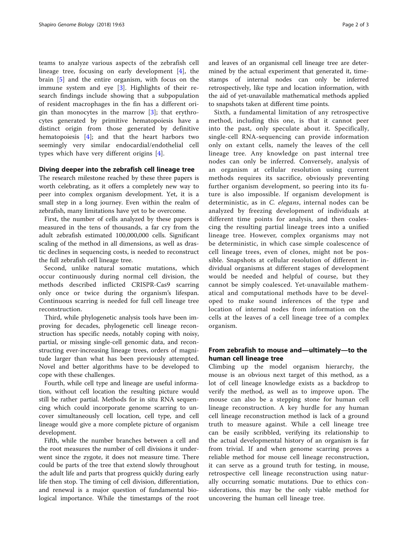teams to analyze various aspects of the zebrafish cell lineage tree, focusing on early development [\[4](#page-2-0)], the brain [\[5](#page-2-0)] and the entire organism, with focus on the immune system and eye [\[3](#page-2-0)]. Highlights of their research findings include showing that a subpopulation of resident macrophages in the fin has a different origin than monocytes in the marrow  $[3]$  $[3]$ ; that erythrocytes generated by primitive hematopoiesis have a distinct origin from those generated by definitive hematopoiesis [[4\]](#page-2-0); and that the heart harbors two seemingly very similar endocardial/endothelial cell types which have very different origins [[4\]](#page-2-0).

## Diving deeper into the zebrafish cell lineage tree

The research milestone reached by these three papers is worth celebrating, as it offers a completely new way to peer into complex organism development. Yet, it is a small step in a long journey. Even within the realm of zebrafish, many limitations have yet to be overcome.

First, the number of cells analyzed by these papers is measured in the tens of thousands, a far cry from the adult zebrafish estimated 100,000,000 cells. Significant scaling of the method in all dimensions, as well as drastic declines in sequencing costs, is needed to reconstruct the full zebrafish cell lineage tree.

Second, unlike natural somatic mutations, which occur continuously during normal cell division, the methods described inflicted CRISPR-Cas9 scarring only once or twice during the organism's lifespan. Continuous scarring is needed for full cell lineage tree reconstruction.

Third, while phylogenetic analysis tools have been improving for decades, phylogenetic cell lineage reconstruction has specific needs, notably coping with noisy, partial, or missing single-cell genomic data, and reconstructing ever-increasing lineage trees, orders of magnitude larger than what has been previously attempted. Novel and better algorithms have to be developed to cope with these challenges.

Fourth, while cell type and lineage are useful information, without cell location the resulting picture would still be rather partial. Methods for in situ RNA sequencing which could incorporate genome scarring to uncover simultaneously cell location, cell type, and cell lineage would give a more complete picture of organism development.

Fifth, while the number branches between a cell and the root measures the number of cell divisions it underwent since the zygote, it does not measure time. There could be parts of the tree that extend slowly throughout the adult life and parts that progress quickly during early life then stop. The timing of cell division, differentiation, and renewal is a major question of fundamental biological importance. While the timestamps of the root and leaves of an organismal cell lineage tree are determined by the actual experiment that generated it, timestamps of internal nodes can only be inferred retrospectively, like type and location information, with the aid of yet-unavailable mathematical methods applied to snapshots taken at different time points.

Sixth, a fundamental limitation of any retrospective method, including this one, is that it cannot peer into the past, only speculate about it. Specifically, single-cell RNA-sequencing can provide information only on extant cells, namely the leaves of the cell lineage tree. Any knowledge on past internal tree nodes can only be inferred. Conversely, analysis of an organism at cellular resolution using current methods requires its sacrifice, obviously preventing further organism development, so peering into its future is also impossible. If organism development is deterministic, as in C. elegans, internal nodes can be analyzed by freezing development of individuals at different time points for analysis, and then coalescing the resulting partial lineage trees into a unified lineage tree. However, complex organisms may not be deterministic, in which case simple coalescence of cell lineage trees, even of clones, might not be possible. Snapshots at cellular resolution of different individual organisms at different stages of development would be needed and helpful of course, but they cannot be simply coalesced. Yet-unavailable mathematical and computational methods have to be developed to make sound inferences of the type and location of internal nodes from information on the cells at the leaves of a cell lineage tree of a complex organism.

## From zebrafish to mouse and—ultimately—to the human cell lineage tree

Climbing up the model organism hierarchy, the mouse is an obvious next target of this method, as a lot of cell lineage knowledge exists as a backdrop to verify the method, as well as to improve upon. The mouse can also be a stepping stone for human cell lineage reconstruction. A key hurdle for any human cell lineage reconstruction method is lack of a ground truth to measure against. While a cell lineage tree can be easily scribbled, verifying its relationship to the actual developmental history of an organism is far from trivial. If and when genome scarring proves a reliable method for mouse cell lineage reconstruction, it can serve as a ground truth for testing, in mouse, retrospective cell lineage reconstruction using naturally occurring somatic mutations. Due to ethics considerations, this may be the only viable method for uncovering the human cell lineage tree.